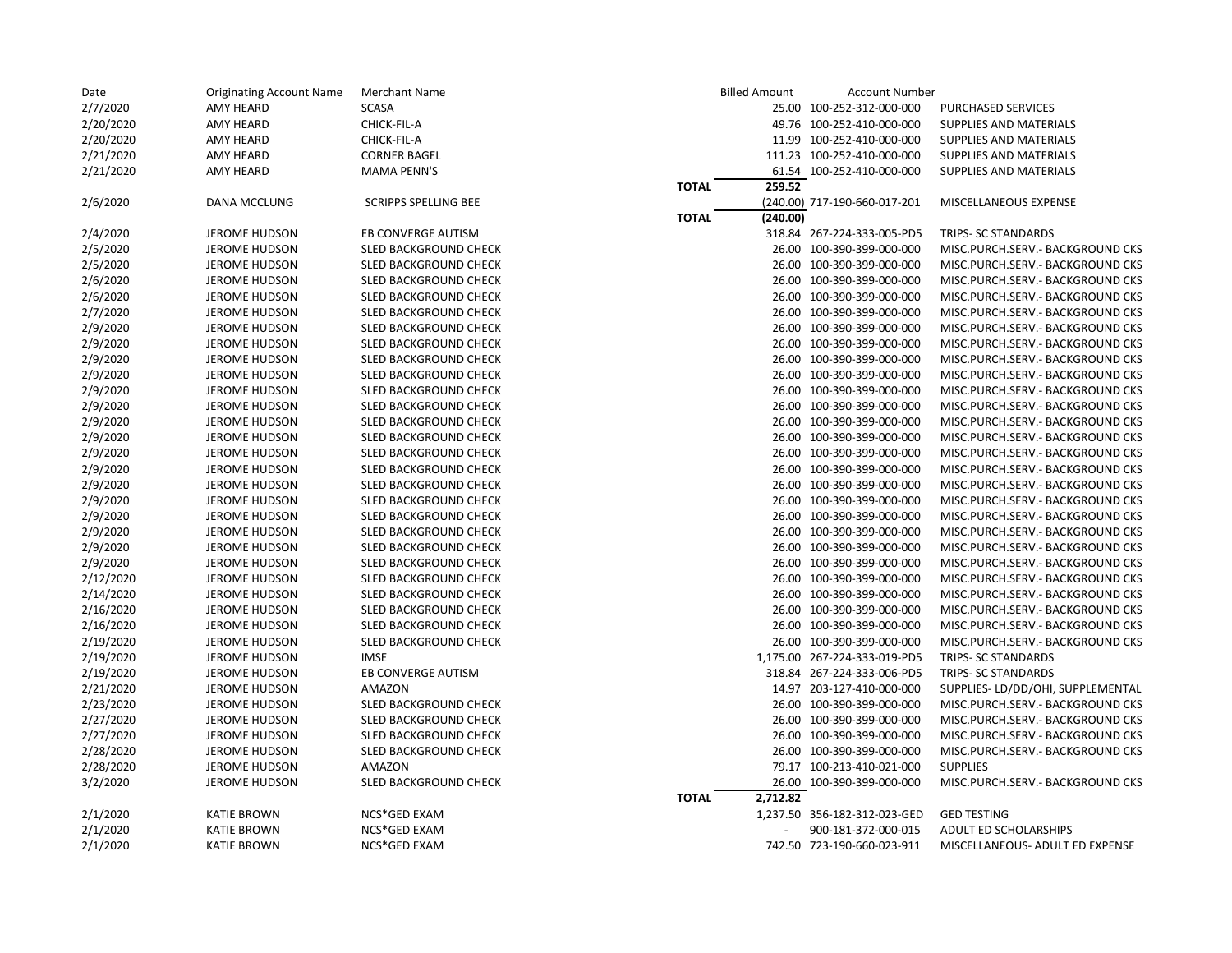| Date      | <b>Originating Account Name</b> | <b>Merchant Name</b>        | <b>Billed Amount</b>     | <b>Account Number</b>        |                                  |
|-----------|---------------------------------|-----------------------------|--------------------------|------------------------------|----------------------------------|
| 2/7/2020  | <b>AMY HEARD</b>                | <b>SCASA</b>                |                          | 25.00 100-252-312-000-000    | <b>PURCHASED SERVICES</b>        |
| 2/20/2020 | <b>AMY HEARD</b>                | CHICK-FIL-A                 |                          | 49.76 100-252-410-000-000    | SUPPLIES AND MATERIALS           |
| 2/20/2020 | <b>AMY HEARD</b>                | CHICK-FIL-A                 |                          | 11.99 100-252-410-000-000    | SUPPLIES AND MATERIALS           |
| 2/21/2020 | <b>AMY HEARD</b>                | <b>CORNER BAGEL</b>         |                          | 111.23 100-252-410-000-000   | SUPPLIES AND MATERIALS           |
| 2/21/2020 | <b>AMY HEARD</b>                | <b>MAMA PENN'S</b>          |                          | 61.54 100-252-410-000-000    | SUPPLIES AND MATERIALS           |
|           |                                 |                             | 259.52<br><b>TOTAL</b>   |                              |                                  |
| 2/6/2020  | DANA MCCLUNG                    | <b>SCRIPPS SPELLING BEE</b> |                          | (240.00) 717-190-660-017-201 | MISCELLANEOUS EXPENSE            |
|           |                                 |                             | (240.00)<br><b>TOTAL</b> |                              |                                  |
| 2/4/2020  | <b>JEROME HUDSON</b>            | EB CONVERGE AUTISM          |                          | 318.84 267-224-333-005-PD5   | TRIPS- SC STANDARDS              |
| 2/5/2020  | <b>JEROME HUDSON</b>            | SLED BACKGROUND CHECK       |                          | 26.00 100-390-399-000-000    | MISC.PURCH.SERV.- BACKGROUND CKS |
| 2/5/2020  | <b>JEROME HUDSON</b>            | SLED BACKGROUND CHECK       |                          | 26.00 100-390-399-000-000    | MISC.PURCH.SERV.- BACKGROUND CKS |
| 2/6/2020  | <b>JEROME HUDSON</b>            | SLED BACKGROUND CHECK       |                          | 26.00 100-390-399-000-000    | MISC.PURCH.SERV.- BACKGROUND CKS |
| 2/6/2020  | <b>JEROME HUDSON</b>            | SLED BACKGROUND CHECK       |                          | 26.00 100-390-399-000-000    | MISC.PURCH.SERV.- BACKGROUND CKS |
| 2/7/2020  | <b>JEROME HUDSON</b>            | SLED BACKGROUND CHECK       |                          | 26.00 100-390-399-000-000    | MISC.PURCH.SERV.- BACKGROUND CKS |
| 2/9/2020  | <b>JEROME HUDSON</b>            | SLED BACKGROUND CHECK       |                          | 26.00 100-390-399-000-000    | MISC.PURCH.SERV.- BACKGROUND CKS |
| 2/9/2020  | <b>JEROME HUDSON</b>            | SLED BACKGROUND CHECK       |                          | 26.00 100-390-399-000-000    | MISC.PURCH.SERV.- BACKGROUND CKS |
| 2/9/2020  | <b>JEROME HUDSON</b>            | SLED BACKGROUND CHECK       |                          | 26.00 100-390-399-000-000    | MISC.PURCH.SERV.- BACKGROUND CKS |
| 2/9/2020  | <b>JEROME HUDSON</b>            | SLED BACKGROUND CHECK       |                          | 26.00 100-390-399-000-000    | MISC.PURCH.SERV.- BACKGROUND CKS |
| 2/9/2020  | <b>JEROME HUDSON</b>            | SLED BACKGROUND CHECK       |                          | 26.00 100-390-399-000-000    | MISC.PURCH.SERV.- BACKGROUND CKS |
| 2/9/2020  | <b>JEROME HUDSON</b>            | SLED BACKGROUND CHECK       |                          | 26.00 100-390-399-000-000    | MISC.PURCH.SERV.- BACKGROUND CKS |
| 2/9/2020  | <b>JEROME HUDSON</b>            | SLED BACKGROUND CHECK       |                          | 26.00 100-390-399-000-000    | MISC.PURCH.SERV.- BACKGROUND CKS |
| 2/9/2020  | <b>JEROME HUDSON</b>            | SLED BACKGROUND CHECK       |                          | 26.00 100-390-399-000-000    | MISC.PURCH.SERV.- BACKGROUND CKS |
| 2/9/2020  | <b>JEROME HUDSON</b>            | SLED BACKGROUND CHECK       |                          | 26.00 100-390-399-000-000    | MISC.PURCH.SERV.- BACKGROUND CKS |
| 2/9/2020  | <b>JEROME HUDSON</b>            | SLED BACKGROUND CHECK       |                          | 26.00 100-390-399-000-000    | MISC.PURCH.SERV.- BACKGROUND CKS |
| 2/9/2020  | <b>JEROME HUDSON</b>            | SLED BACKGROUND CHECK       |                          | 26.00 100-390-399-000-000    | MISC.PURCH.SERV.- BACKGROUND CKS |
| 2/9/2020  | <b>JEROME HUDSON</b>            | SLED BACKGROUND CHECK       |                          | 26.00 100-390-399-000-000    | MISC.PURCH.SERV.- BACKGROUND CKS |
| 2/9/2020  | <b>JEROME HUDSON</b>            | SLED BACKGROUND CHECK       |                          | 26.00 100-390-399-000-000    | MISC.PURCH.SERV.- BACKGROUND CKS |
| 2/9/2020  | <b>JEROME HUDSON</b>            | SLED BACKGROUND CHECK       |                          | 26.00 100-390-399-000-000    | MISC.PURCH.SERV.- BACKGROUND CKS |
| 2/9/2020  | <b>JEROME HUDSON</b>            | SLED BACKGROUND CHECK       |                          | 26.00 100-390-399-000-000    | MISC.PURCH.SERV.- BACKGROUND CKS |
| 2/9/2020  | <b>JEROME HUDSON</b>            | SLED BACKGROUND CHECK       |                          | 26.00 100-390-399-000-000    | MISC.PURCH.SERV.- BACKGROUND CKS |
| 2/12/2020 | <b>JEROME HUDSON</b>            | SLED BACKGROUND CHECK       |                          | 26.00 100-390-399-000-000    | MISC.PURCH.SERV.- BACKGROUND CKS |
| 2/14/2020 | <b>JEROME HUDSON</b>            | SLED BACKGROUND CHECK       |                          | 26.00 100-390-399-000-000    | MISC.PURCH.SERV.- BACKGROUND CKS |
| 2/16/2020 | <b>JEROME HUDSON</b>            | SLED BACKGROUND CHECK       |                          | 26.00 100-390-399-000-000    | MISC.PURCH.SERV.- BACKGROUND CKS |
| 2/16/2020 | <b>JEROME HUDSON</b>            | SLED BACKGROUND CHECK       |                          | 26.00 100-390-399-000-000    | MISC.PURCH.SERV.- BACKGROUND CKS |
| 2/19/2020 | <b>JEROME HUDSON</b>            | SLED BACKGROUND CHECK       |                          | 26.00 100-390-399-000-000    | MISC.PURCH.SERV.- BACKGROUND CKS |
| 2/19/2020 | <b>JEROME HUDSON</b>            | <b>IMSE</b>                 |                          | 1,175.00 267-224-333-019-PD5 | TRIPS- SC STANDARDS              |
| 2/19/2020 | <b>JEROME HUDSON</b>            | EB CONVERGE AUTISM          |                          | 318.84 267-224-333-006-PD5   | TRIPS- SC STANDARDS              |
| 2/21/2020 | <b>JEROME HUDSON</b>            | AMAZON                      |                          | 14.97 203-127-410-000-000    | SUPPLIES-LD/DD/OHI, SUPPLEMENTAL |
| 2/23/2020 | <b>JEROME HUDSON</b>            | SLED BACKGROUND CHECK       |                          | 26.00 100-390-399-000-000    | MISC.PURCH.SERV.- BACKGROUND CKS |
| 2/27/2020 | <b>JEROME HUDSON</b>            | SLED BACKGROUND CHECK       |                          | 26.00 100-390-399-000-000    | MISC.PURCH.SERV.- BACKGROUND CKS |
| 2/27/2020 | <b>JEROME HUDSON</b>            | SLED BACKGROUND CHECK       |                          | 26.00 100-390-399-000-000    | MISC.PURCH.SERV.- BACKGROUND CKS |
| 2/28/2020 | <b>JEROME HUDSON</b>            | SLED BACKGROUND CHECK       |                          | 26.00 100-390-399-000-000    | MISC.PURCH.SERV.- BACKGROUND CKS |
| 2/28/2020 | <b>JEROME HUDSON</b>            | <b>AMAZON</b>               |                          | 79.17 100-213-410-021-000    | <b>SUPPLIES</b>                  |
| 3/2/2020  | <b>JEROME HUDSON</b>            | SLED BACKGROUND CHECK       |                          | 26.00 100-390-399-000-000    | MISC.PURCH.SERV.- BACKGROUND CKS |
|           |                                 |                             | 2,712.82<br><b>TOTAL</b> |                              |                                  |
| 2/1/2020  | <b>KATIE BROWN</b>              | NCS*GED EXAM                |                          | 1,237.50 356-182-312-023-GED | <b>GED TESTING</b>               |
| 2/1/2020  | <b>KATIE BROWN</b>              | NCS*GED EXAM                |                          | 900-181-372-000-015          | ADULT ED SCHOLARSHIPS            |
| 2/1/2020  | <b>KATIE BROWN</b>              | NCS*GED EXAM                |                          | 742.50 723-190-660-023-911   | MISCELLANEOUS- ADULT ED EXPENSE  |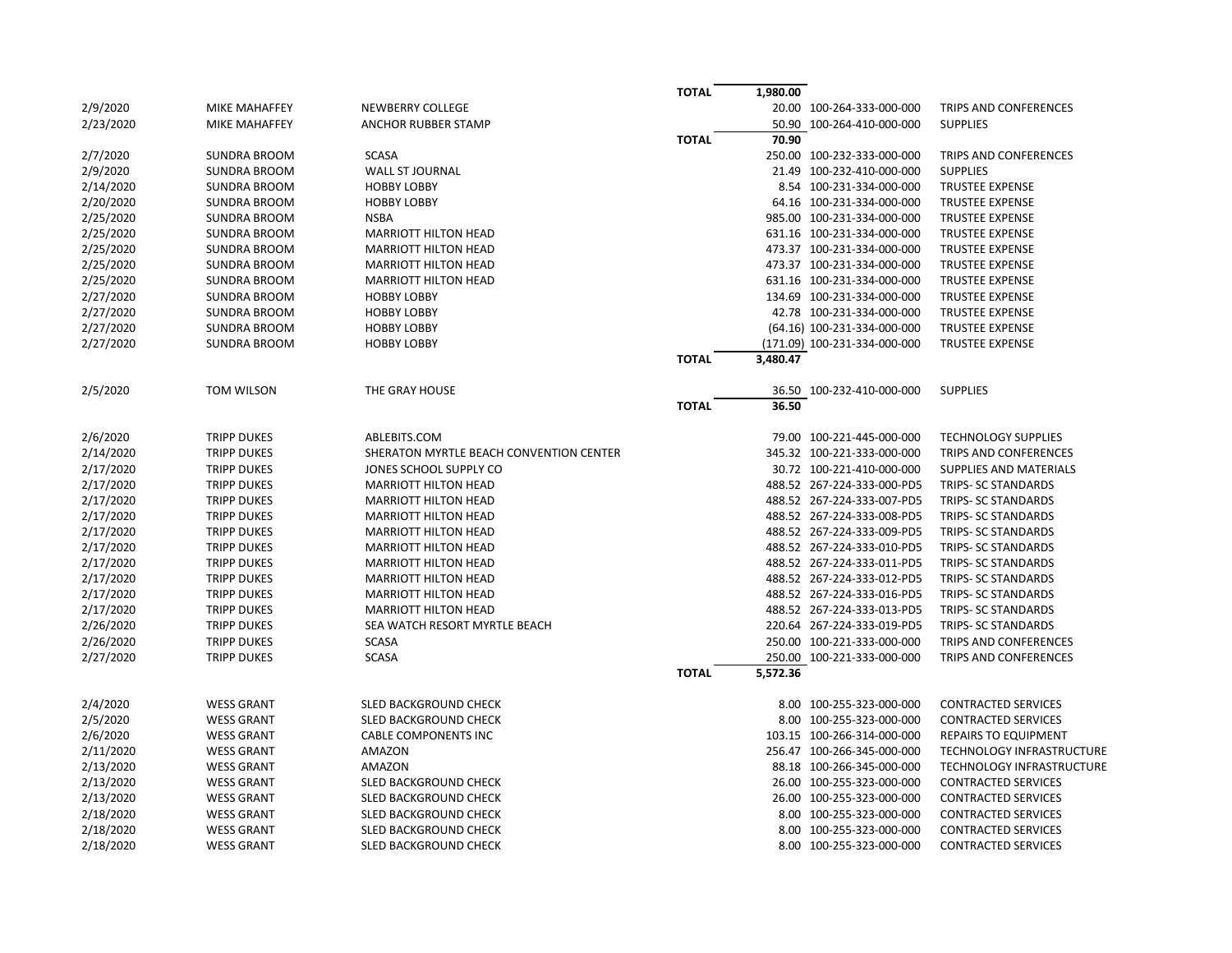|           |                     |                                         | <b>TOTAL</b> | 1,980.00 |                              |                             |
|-----------|---------------------|-----------------------------------------|--------------|----------|------------------------------|-----------------------------|
| 2/9/2020  | MIKE MAHAFFEY       | <b>NEWBERRY COLLEGE</b>                 |              |          | 20.00 100-264-333-000-000    | TRIPS AND CONFERENCES       |
| 2/23/2020 | MIKE MAHAFFEY       | ANCHOR RUBBER STAMP                     |              |          | 50.90 100-264-410-000-000    | <b>SUPPLIES</b>             |
|           |                     |                                         | <b>TOTAL</b> | 70.90    |                              |                             |
| 2/7/2020  | <b>SUNDRA BROOM</b> | <b>SCASA</b>                            |              |          | 250.00 100-232-333-000-000   | TRIPS AND CONFERENCES       |
| 2/9/2020  | <b>SUNDRA BROOM</b> | WALL ST JOURNAL                         |              |          | 21.49 100-232-410-000-000    | <b>SUPPLIES</b>             |
| 2/14/2020 | <b>SUNDRA BROOM</b> | <b>HOBBY LOBBY</b>                      |              |          | 8.54 100-231-334-000-000     | <b>TRUSTEE EXPENSE</b>      |
| 2/20/2020 | <b>SUNDRA BROOM</b> | <b>HOBBY LOBBY</b>                      |              |          | 64.16 100-231-334-000-000    | <b>TRUSTEE EXPENSE</b>      |
| 2/25/2020 | <b>SUNDRA BROOM</b> | <b>NSBA</b>                             |              |          | 985.00 100-231-334-000-000   | <b>TRUSTEE EXPENSE</b>      |
| 2/25/2020 | <b>SUNDRA BROOM</b> | <b>MARRIOTT HILTON HEAD</b>             |              |          | 631.16 100-231-334-000-000   | <b>TRUSTEE EXPENSE</b>      |
| 2/25/2020 | <b>SUNDRA BROOM</b> | <b>MARRIOTT HILTON HEAD</b>             |              |          | 473.37 100-231-334-000-000   | <b>TRUSTEE EXPENSE</b>      |
| 2/25/2020 | <b>SUNDRA BROOM</b> | <b>MARRIOTT HILTON HEAD</b>             |              |          | 473.37 100-231-334-000-000   | <b>TRUSTEE EXPENSE</b>      |
| 2/25/2020 | <b>SUNDRA BROOM</b> | <b>MARRIOTT HILTON HEAD</b>             |              |          | 631.16 100-231-334-000-000   | <b>TRUSTEE EXPENSE</b>      |
| 2/27/2020 | <b>SUNDRA BROOM</b> | <b>HOBBY LOBBY</b>                      |              |          | 134.69 100-231-334-000-000   | <b>TRUSTEE EXPENSE</b>      |
| 2/27/2020 | <b>SUNDRA BROOM</b> | <b>HOBBY LOBBY</b>                      |              |          | 42.78 100-231-334-000-000    | <b>TRUSTEE EXPENSE</b>      |
| 2/27/2020 | <b>SUNDRA BROOM</b> | <b>HOBBY LOBBY</b>                      |              |          | (64.16) 100-231-334-000-000  | <b>TRUSTEE EXPENSE</b>      |
| 2/27/2020 | <b>SUNDRA BROOM</b> | <b>HOBBY LOBBY</b>                      |              |          | (171.09) 100-231-334-000-000 | <b>TRUSTEE EXPENSE</b>      |
|           |                     |                                         | <b>TOTAL</b> | 3,480.47 |                              |                             |
|           |                     |                                         |              |          |                              |                             |
| 2/5/2020  | <b>TOM WILSON</b>   | THE GRAY HOUSE                          |              |          | 36.50 100-232-410-000-000    | <b>SUPPLIES</b>             |
|           |                     |                                         | <b>TOTAL</b> | 36.50    |                              |                             |
|           |                     |                                         |              |          |                              |                             |
| 2/6/2020  | <b>TRIPP DUKES</b>  | ABLEBITS.COM                            |              |          | 79.00 100-221-445-000-000    | <b>TECHNOLOGY SUPPLIES</b>  |
| 2/14/2020 | <b>TRIPP DUKES</b>  | SHERATON MYRTLE BEACH CONVENTION CENTER |              |          | 345.32 100-221-333-000-000   | TRIPS AND CONFERENCES       |
| 2/17/2020 | <b>TRIPP DUKES</b>  | JONES SCHOOL SUPPLY CO                  |              |          | 30.72 100-221-410-000-000    | SUPPLIES AND MATERIALS      |
| 2/17/2020 | <b>TRIPP DUKES</b>  | <b>MARRIOTT HILTON HEAD</b>             |              |          | 488.52 267-224-333-000-PD5   | TRIPS- SC STANDARDS         |
| 2/17/2020 | <b>TRIPP DUKES</b>  | <b>MARRIOTT HILTON HEAD</b>             |              |          | 488.52 267-224-333-007-PD5   | TRIPS- SC STANDARDS         |
| 2/17/2020 | <b>TRIPP DUKES</b>  | <b>MARRIOTT HILTON HEAD</b>             |              |          | 488.52 267-224-333-008-PD5   | TRIPS- SC STANDARDS         |
| 2/17/2020 | <b>TRIPP DUKES</b>  | <b>MARRIOTT HILTON HEAD</b>             |              |          | 488.52 267-224-333-009-PD5   | TRIPS- SC STANDARDS         |
| 2/17/2020 | <b>TRIPP DUKES</b>  | <b>MARRIOTT HILTON HEAD</b>             |              |          | 488.52 267-224-333-010-PD5   | TRIPS- SC STANDARDS         |
| 2/17/2020 | <b>TRIPP DUKES</b>  | <b>MARRIOTT HILTON HEAD</b>             |              |          | 488.52 267-224-333-011-PD5   | TRIPS- SC STANDARDS         |
| 2/17/2020 | <b>TRIPP DUKES</b>  | <b>MARRIOTT HILTON HEAD</b>             |              |          | 488.52 267-224-333-012-PD5   | TRIPS- SC STANDARDS         |
| 2/17/2020 | <b>TRIPP DUKES</b>  | <b>MARRIOTT HILTON HEAD</b>             |              |          | 488.52 267-224-333-016-PD5   | TRIPS- SC STANDARDS         |
| 2/17/2020 | <b>TRIPP DUKES</b>  | <b>MARRIOTT HILTON HEAD</b>             |              |          | 488.52 267-224-333-013-PD5   | TRIPS- SC STANDARDS         |
| 2/26/2020 | <b>TRIPP DUKES</b>  | SEA WATCH RESORT MYRTLE BEACH           |              |          | 220.64 267-224-333-019-PD5   | TRIPS- SC STANDARDS         |
| 2/26/2020 | <b>TRIPP DUKES</b>  | <b>SCASA</b>                            |              |          | 250.00 100-221-333-000-000   | TRIPS AND CONFERENCES       |
| 2/27/2020 | <b>TRIPP DUKES</b>  | <b>SCASA</b>                            |              |          | 250.00 100-221-333-000-000   | TRIPS AND CONFERENCES       |
|           |                     |                                         | <b>TOTAL</b> | 5,572.36 |                              |                             |
|           |                     |                                         |              |          |                              |                             |
| 2/4/2020  | <b>WESS GRANT</b>   | SLED BACKGROUND CHECK                   |              |          | 8.00 100-255-323-000-000     | <b>CONTRACTED SERVICES</b>  |
| 2/5/2020  | <b>WESS GRANT</b>   | SLED BACKGROUND CHECK                   |              |          | 8.00 100-255-323-000-000     | <b>CONTRACTED SERVICES</b>  |
| 2/6/2020  | <b>WESS GRANT</b>   | <b>CABLE COMPONENTS INC</b>             |              |          | 103.15 100-266-314-000-000   | <b>REPAIRS TO EQUIPMENT</b> |
| 2/11/2020 | <b>WESS GRANT</b>   | AMAZON                                  |              |          | 256.47 100-266-345-000-000   | TECHNOLOGY INFRASTRUCTURE   |
| 2/13/2020 | <b>WESS GRANT</b>   | AMAZON                                  |              |          | 88.18 100-266-345-000-000    | TECHNOLOGY INFRASTRUCTURE   |
| 2/13/2020 | <b>WESS GRANT</b>   | SLED BACKGROUND CHECK                   |              |          | 26.00 100-255-323-000-000    | <b>CONTRACTED SERVICES</b>  |
| 2/13/2020 | <b>WESS GRANT</b>   | SLED BACKGROUND CHECK                   |              |          | 26.00 100-255-323-000-000    | <b>CONTRACTED SERVICES</b>  |
| 2/18/2020 | <b>WESS GRANT</b>   | SLED BACKGROUND CHECK                   |              |          | 8.00 100-255-323-000-000     | <b>CONTRACTED SERVICES</b>  |
| 2/18/2020 | <b>WESS GRANT</b>   | SLED BACKGROUND CHECK                   |              |          | 8.00 100-255-323-000-000     | <b>CONTRACTED SERVICES</b>  |
| 2/18/2020 | <b>WESS GRANT</b>   | SLED BACKGROUND CHECK                   |              |          | 8.00 100-255-323-000-000     | <b>CONTRACTED SERVICES</b>  |
|           |                     |                                         |              |          |                              |                             |